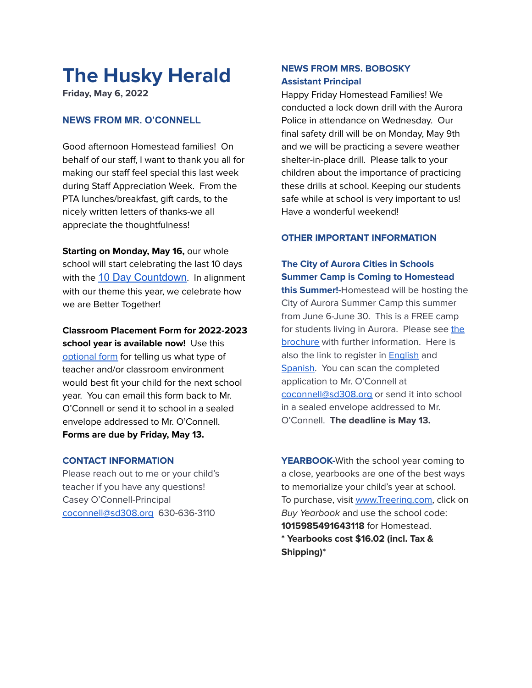# **The Husky Herald**

**Friday, May 6, 2022**

# **NEWS FROM MR. O'CONNELL**

Good afternoon Homestead families! On behalf of our staff, I want to thank you all for making our staff feel special this last week during Staff Appreciation Week. From the PTA lunches/breakfast, gift cards, to the nicely written letters of thanks-we all appreciate the thoughtfulness!

**Starting on Monday, May 16,** our whole school will start celebrating the last 10 days with the [10 Day Countdown](https://drive.google.com/file/d/1U9d78kVzF-TWyt_Lro8TGpKqqJxcQdJa/view?usp=sharing). In alignment with our theme this year, we celebrate how we are Better Together!

**Classroom Placement Form for 2022-2023 school year is available now!** Use this [optional](https://docs.google.com/document/d/15O4jr6AdA599PenEvmxgcJSRC9qjYcdA/edit?usp=sharing&ouid=110263168340311348525&rtpof=true&sd=true) form for telling us what type of teacher and/or classroom environment would best fit your child for the next school year. You can email this form back to Mr. O'Connell or send it to school in a sealed envelope addressed to Mr. O'Connell. **Forms are due by Friday, May 13.**

## **CONTACT INFORMATION**

Please reach out to me or your child's teacher if you have any questions! Casey O'Connell-Principal [coconnell@sd308.org](mailto:coconnell@sd308.org) 630-636-3110

# **NEWS FROM MRS. BOBOSKY Assistant Principal**

Happy Friday Homestead Families! We conducted a lock down drill with the Aurora Police in attendance on Wednesday. Our final safety drill will be on Monday, May 9th and we will be practicing a severe weather shelter-in-place drill. Please talk to your children about the importance of practicing these drills at school. Keeping our students safe while at school is very important to us! Have a wonderful weekend!

#### **OTHER IMPORTANT INFORMATION**

**The City of Aurora Cities in Schools Summer Camp is Coming to Homestead this Summer!-**Homestead will be hosting the City of Aurora Summer Camp this summer from June 6-June 30. This is a FREE camp for students living in Aurora. Please see [the](https://drive.google.com/file/d/1yQs8Yy4uQjeND1_99XOb1CZ1KEetH_NL/view?usp=sharing) [brochure](https://drive.google.com/file/d/1yQs8Yy4uQjeND1_99XOb1CZ1KEetH_NL/view?usp=sharing) with further information. Here is also the link to register in **[English](https://drive.google.com/file/d/1hIazXtb-91Htgir1g5iqp0V8xyLLDwGI/view?usp=sharing)** and [Spanish](https://drive.google.com/file/d/1lQ-rvGPW7AEngd--sQnjwrHJ3IflWrz6/view?usp=sharing). You can scan the completed application to Mr. O'Connell at [coconnell@sd308.org](mailto:coconnell@sd308.org) or send it into school in a sealed envelope addressed to Mr. O'Connell. **The deadline is May 13.**

**YEARBOOK-**With the school year coming to a close, yearbooks are one of the best ways to memorialize your child's year at school. To purchase, visit [www.Treering.com,](http://www.treering.com/) click on Buy Yearbook and use the school code: **1015985491643118** for Homestead. **\* Yearbooks cost \$16.02 (incl. Tax & Shipping)\***